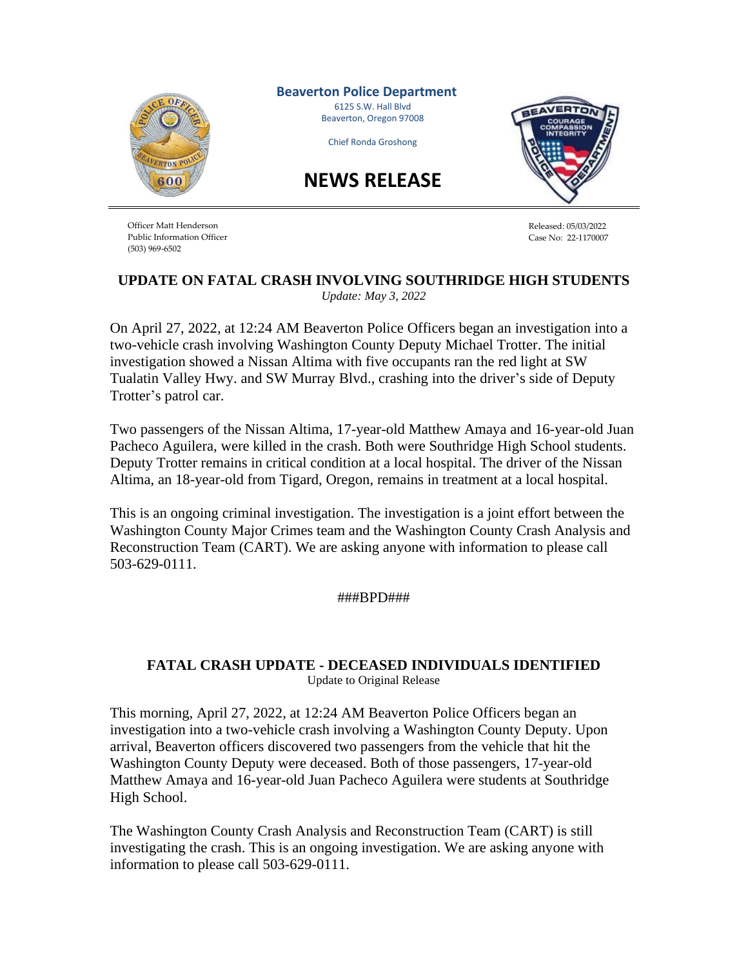

**Beaverton Police Department** 6125 S.W. Hall Blvd Beaverton, Oregon 97008

Chief Ronda Groshong

**NEWS RELEASE**



Officer Matt Henderson Public Information Officer (503) 969-6502

Released: 05/03/2022 Case No: 22-1170007

## **UPDATE ON FATAL CRASH INVOLVING SOUTHRIDGE HIGH STUDENTS** *Update: May 3, 2022*

On April 27, 2022, at 12:24 AM Beaverton Police Officers began an investigation into a two-vehicle crash involving Washington County Deputy Michael Trotter. The initial investigation showed a Nissan Altima with five occupants ran the red light at SW Tualatin Valley Hwy. and SW Murray Blvd., crashing into the driver's side of Deputy Trotter's patrol car.

Two passengers of the Nissan Altima, 17-year-old Matthew Amaya and 16-year-old Juan Pacheco Aguilera, were killed in the crash. Both were Southridge High School students. Deputy Trotter remains in critical condition at a local hospital. The driver of the Nissan Altima, an 18-year-old from Tigard, Oregon, remains in treatment at a local hospital.

This is an ongoing criminal investigation. The investigation is a joint effort between the Washington County Major Crimes team and the Washington County Crash Analysis and Reconstruction Team (CART). We are asking anyone with information to please call 503-629-0111.

###BPD###

## **FATAL CRASH UPDATE - DECEASED INDIVIDUALS IDENTIFIED** Update to Original Release

This morning, April 27, 2022, at 12:24 AM Beaverton Police Officers began an investigation into a two-vehicle crash involving a Washington County Deputy. Upon arrival, Beaverton officers discovered two passengers from the vehicle that hit the Washington County Deputy were deceased. Both of those passengers, 17-year-old Matthew Amaya and 16-year-old Juan Pacheco Aguilera were students at Southridge High School.

The Washington County Crash Analysis and Reconstruction Team (CART) is still investigating the crash. This is an ongoing investigation. We are asking anyone with information to please call 503-629-0111.